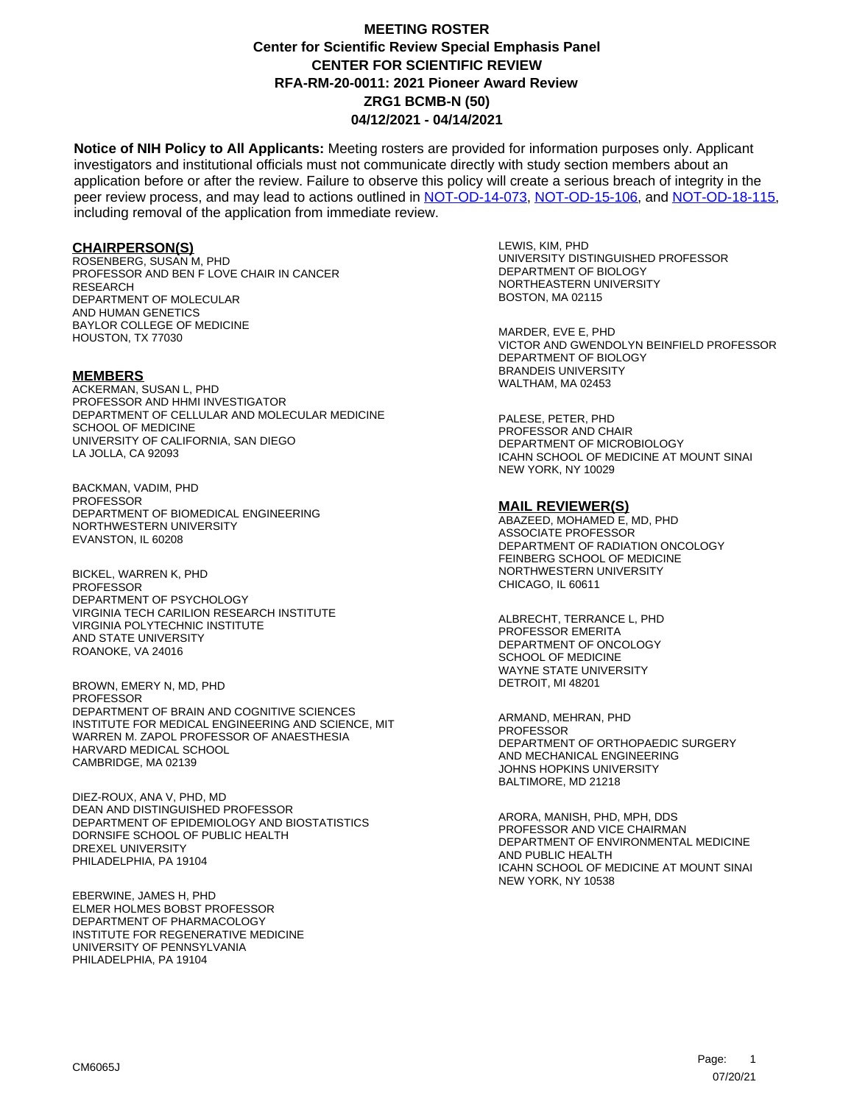**Notice of NIH Policy to All Applicants:** Meeting rosters are provided for information purposes only. Applicant investigators and institutional officials must not communicate directly with study section members about an application before or after the review. Failure to observe this policy will create a serious breach of integrity in the peer review process, and may lead to actions outlined in [NOT-OD-14-073,](https://grants.nih.gov/grants/guide/notice-files/NOT-OD-14-073.html) [NOT-OD-15-106,](https://grants.nih.gov/grants/guide/notice-files/NOT-OD-15-106.html) and [NOT-OD-18-115,](https://grants.nih.gov/grants/guide/notice-files/NOT-OD-18-115.html) including removal of the application from immediate review.

#### **CHAIRPERSON(S)**

ROSENBERG, SUSAN M, PHD PROFESSOR AND BEN F LOVE CHAIR IN CANCER **RESEARCH** DEPARTMENT OF MOLECULAR AND HUMAN GENETICS BAYLOR COLLEGE OF MEDICINE HOUSTON, TX 77030

#### **MEMBERS**

ACKERMAN, SUSAN L, PHD PROFESSOR AND HHMI INVESTIGATOR DEPARTMENT OF CELLULAR AND MOLECULAR MEDICINE SCHOOL OF MEDICINE UNIVERSITY OF CALIFORNIA, SAN DIEGO LA JOLLA, CA 92093

BACKMAN, VADIM, PHD PROFESSOR DEPARTMENT OF BIOMEDICAL ENGINEERING NORTHWESTERN UNIVERSITY EVANSTON, IL 60208

BICKEL, WARREN K, PHD PROFESSOR DEPARTMENT OF PSYCHOLOGY VIRGINIA TECH CARILION RESEARCH INSTITUTE VIRGINIA POLYTECHNIC INSTITUTE AND STATE UNIVERSITY ROANOKE, VA 24016

BROWN, EMERY N, MD, PHD **PROFESSOR** DEPARTMENT OF BRAIN AND COGNITIVE SCIENCES INSTITUTE FOR MEDICAL ENGINEERING AND SCIENCE, MIT WARREN M. ZAPOL PROFESSOR OF ANAESTHESIA HARVARD MEDICAL SCHOOL CAMBRIDGE, MA 02139

DIEZ-ROUX, ANA V, PHD, MD DEAN AND DISTINGUISHED PROFESSOR DEPARTMENT OF EPIDEMIOLOGY AND BIOSTATISTICS DORNSIFE SCHOOL OF PUBLIC HEALTH DREXEL UNIVERSITY PHILADELPHIA, PA 19104

EBERWINE, JAMES H, PHD ELMER HOLMES BOBST PROFESSOR DEPARTMENT OF PHARMACOLOGY INSTITUTE FOR REGENERATIVE MEDICINE UNIVERSITY OF PENNSYLVANIA PHILADELPHIA, PA 19104

LEWIS, KIM, PHD UNIVERSITY DISTINGUISHED PROFESSOR DEPARTMENT OF BIOLOGY NORTHEASTERN UNIVERSITY BOSTON, MA 02115

MARDER, EVE E, PHD VICTOR AND GWENDOLYN BEINFIELD PROFESSOR DEPARTMENT OF BIOLOGY BRANDEIS UNIVERSITY WALTHAM, MA 02453

PALESE, PETER, PHD PROFESSOR AND CHAIR DEPARTMENT OF MICROBIOLOGY ICAHN SCHOOL OF MEDICINE AT MOUNT SINAI NEW YORK, NY 10029

#### **MAIL REVIEWER(S)**

ABAZEED, MOHAMED E, MD, PHD ASSOCIATE PROFESSOR DEPARTMENT OF RADIATION ONCOLOGY FEINBERG SCHOOL OF MEDICINE NORTHWESTERN UNIVERSITY CHICAGO, IL 60611

ALBRECHT, TERRANCE L, PHD PROFESSOR EMERITA DEPARTMENT OF ONCOLOGY SCHOOL OF MEDICINE WAYNE STATE UNIVERSITY DETROIT, MI 48201

ARMAND, MEHRAN, PHD **PROFESSOR** DEPARTMENT OF ORTHOPAEDIC SURGERY AND MECHANICAL ENGINEERING JOHNS HOPKINS UNIVERSITY BALTIMORE, MD 21218

ARORA, MANISH, PHD, MPH, DDS PROFESSOR AND VICE CHAIRMAN DEPARTMENT OF ENVIRONMENTAL MEDICINE AND PUBLIC HEALTH ICAHN SCHOOL OF MEDICINE AT MOUNT SINAI NEW YORK, NY 10538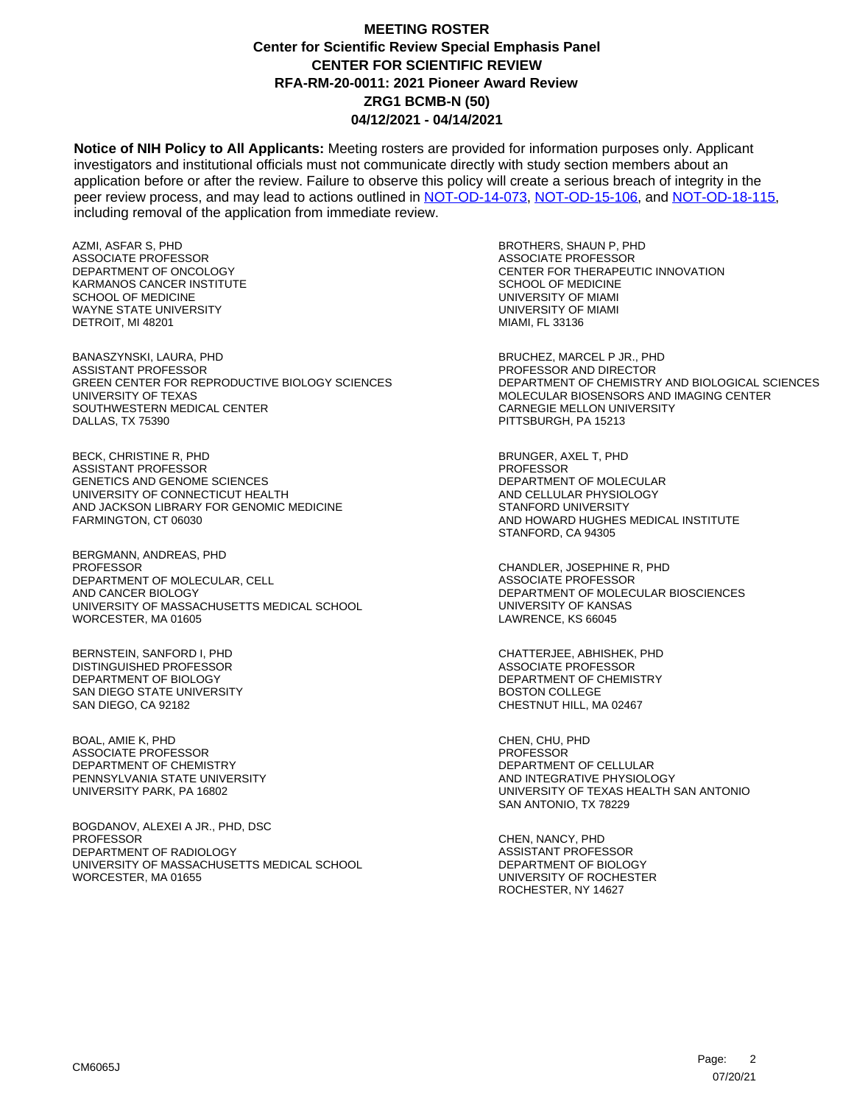**Notice of NIH Policy to All Applicants:** Meeting rosters are provided for information purposes only. Applicant investigators and institutional officials must not communicate directly with study section members about an application before or after the review. Failure to observe this policy will create a serious breach of integrity in the peer review process, and may lead to actions outlined in [NOT-OD-14-073,](https://grants.nih.gov/grants/guide/notice-files/NOT-OD-14-073.html) [NOT-OD-15-106,](https://grants.nih.gov/grants/guide/notice-files/NOT-OD-15-106.html) and [NOT-OD-18-115,](https://grants.nih.gov/grants/guide/notice-files/NOT-OD-18-115.html) including removal of the application from immediate review.

AZMI, ASFAR S, PHD ASSOCIATE PROFESSOR DEPARTMENT OF ONCOLOGY KARMANOS CANCER INSTITUTE SCHOOL OF MEDICINE WAYNE STATE UNIVERSITY DETROIT, MI 48201

BANASZYNSKI, LAURA, PHD ASSISTANT PROFESSOR GREEN CENTER FOR REPRODUCTIVE BIOLOGY SCIENCES UNIVERSITY OF TEXAS SOUTHWESTERN MEDICAL CENTER DALLAS, TX 75390

BECK, CHRISTINE R, PHD ASSISTANT PROFESSOR GENETICS AND GENOME SCIENCES UNIVERSITY OF CONNECTICUT HEALTH AND JACKSON LIBRARY FOR GENOMIC MEDICINE FARMINGTON, CT 06030

BERGMANN, ANDREAS, PHD PROFESSOR DEPARTMENT OF MOLECULAR, CELL AND CANCER BIOLOGY UNIVERSITY OF MASSACHUSETTS MEDICAL SCHOOL WORCESTER, MA 01605

BERNSTEIN, SANFORD I, PHD DISTINGUISHED PROFESSOR DEPARTMENT OF BIOLOGY SAN DIEGO STATE UNIVERSITY SAN DIEGO, CA 92182

BOAL, AMIE K, PHD ASSOCIATE PROFESSOR DEPARTMENT OF CHEMISTRY PENNSYLVANIA STATE UNIVERSITY UNIVERSITY PARK, PA 16802

BOGDANOV, ALEXEI A JR., PHD, DSC PROFESSOR DEPARTMENT OF RADIOLOGY UNIVERSITY OF MASSACHUSETTS MEDICAL SCHOOL WORCESTER, MA 01655

BROTHERS, SHAUN P, PHD ASSOCIATE PROFESSOR CENTER FOR THERAPEUTIC INNOVATION SCHOOL OF MEDICINE UNIVERSITY OF MIAMI UNIVERSITY OF MIAMI MIAMI, FL 33136

BRUCHEZ, MARCEL P JR., PHD PROFESSOR AND DIRECTOR DEPARTMENT OF CHEMISTRY AND BIOLOGICAL SCIENCES MOLECULAR BIOSENSORS AND IMAGING CENTER CARNEGIE MELLON UNIVERSITY PITTSBURGH, PA 15213

BRUNGER, AXEL T, PHD PROFESSOR DEPARTMENT OF MOLECULAR AND CELLULAR PHYSIOLOGY STANFORD UNIVERSITY AND HOWARD HUGHES MEDICAL INSTITUTE STANFORD, CA 94305

CHANDLER, JOSEPHINE R, PHD ASSOCIATE PROFESSOR DEPARTMENT OF MOLECULAR BIOSCIENCES UNIVERSITY OF KANSAS LAWRENCE, KS 66045

CHATTERJEE, ABHISHEK, PHD ASSOCIATE PROFESSOR DEPARTMENT OF CHEMISTRY BOSTON COLLEGE CHESTNUT HILL, MA 02467

CHEN, CHU, PHD PROFESSOR DEPARTMENT OF CELLULAR AND INTEGRATIVE PHYSIOLOGY UNIVERSITY OF TEXAS HEALTH SAN ANTONIO SAN ANTONIO, TX 78229

CHEN, NANCY, PHD ASSISTANT PROFESSOR DEPARTMENT OF BIOLOGY UNIVERSITY OF ROCHESTER ROCHESTER, NY 14627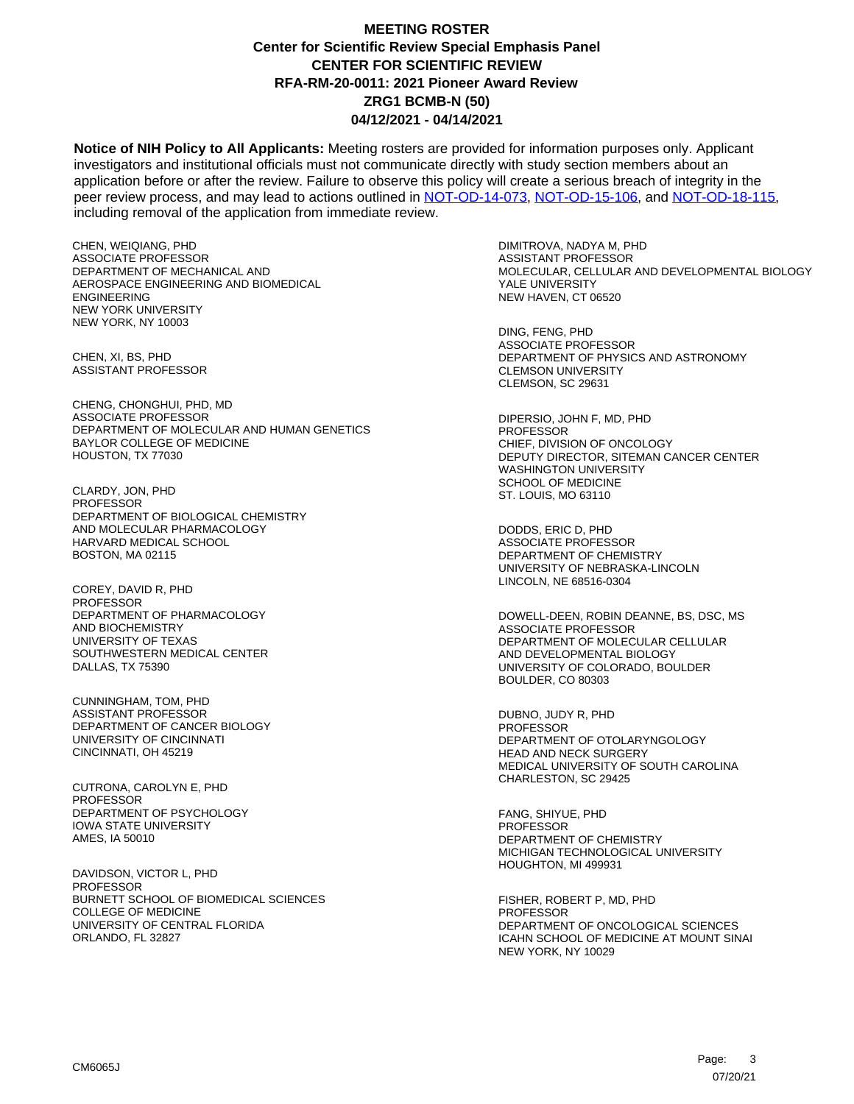**Notice of NIH Policy to All Applicants:** Meeting rosters are provided for information purposes only. Applicant investigators and institutional officials must not communicate directly with study section members about an application before or after the review. Failure to observe this policy will create a serious breach of integrity in the peer review process, and may lead to actions outlined in [NOT-OD-14-073,](https://grants.nih.gov/grants/guide/notice-files/NOT-OD-14-073.html) [NOT-OD-15-106,](https://grants.nih.gov/grants/guide/notice-files/NOT-OD-15-106.html) and [NOT-OD-18-115,](https://grants.nih.gov/grants/guide/notice-files/NOT-OD-18-115.html) including removal of the application from immediate review.

CHEN, WEIQIANG, PHD ASSOCIATE PROFESSOR DEPARTMENT OF MECHANICAL AND AEROSPACE ENGINEERING AND BIOMEDICAL ENGINEERING NEW YORK UNIVERSITY NEW YORK, NY 10003

CHEN, XI, BS, PHD ASSISTANT PROFESSOR

CHENG, CHONGHUI, PHD, MD ASSOCIATE PROFESSOR DEPARTMENT OF MOLECULAR AND HUMAN GENETICS BAYLOR COLLEGE OF MEDICINE HOUSTON, TX 77030

CLARDY, JON, PHD PROFESSOR DEPARTMENT OF BIOLOGICAL CHEMISTRY AND MOLECULAR PHARMACOLOGY HARVARD MEDICAL SCHOOL BOSTON, MA 02115

COREY, DAVID R, PHD PROFESSOR DEPARTMENT OF PHARMACOLOGY AND BIOCHEMISTRY UNIVERSITY OF TEXAS SOUTHWESTERN MEDICAL CENTER DALLAS, TX 75390

CUNNINGHAM, TOM, PHD ASSISTANT PROFESSOR DEPARTMENT OF CANCER BIOLOGY UNIVERSITY OF CINCINNATI CINCINNATI, OH 45219

CUTRONA, CAROLYN E, PHD **PROFESSOR** DEPARTMENT OF PSYCHOLOGY IOWA STATE UNIVERSITY AMES, IA 50010

DAVIDSON, VICTOR L, PHD PROFESSOR BURNETT SCHOOL OF BIOMEDICAL SCIENCES COLLEGE OF MEDICINE UNIVERSITY OF CENTRAL FLORIDA ORLANDO, FL 32827

DIMITROVA, NADYA M, PHD ASSISTANT PROFESSOR MOLECULAR, CELLULAR AND DEVELOPMENTAL BIOLOGY YALE UNIVERSITY NEW HAVEN, CT 06520

DING, FENG, PHD ASSOCIATE PROFESSOR DEPARTMENT OF PHYSICS AND ASTRONOMY CLEMSON UNIVERSITY CLEMSON, SC 29631

DIPERSIO, JOHN F, MD, PHD PROFESSOR CHIEF, DIVISION OF ONCOLOGY DEPUTY DIRECTOR, SITEMAN CANCER CENTER WASHINGTON UNIVERSITY SCHOOL OF MEDICINE ST. LOUIS, MO 63110

DODDS, ERIC D, PHD ASSOCIATE PROFESSOR DEPARTMENT OF CHEMISTRY UNIVERSITY OF NEBRASKA-LINCOLN LINCOLN, NE 68516-0304

DOWELL-DEEN, ROBIN DEANNE, BS, DSC, MS ASSOCIATE PROFESSOR DEPARTMENT OF MOLECULAR CELLULAR AND DEVELOPMENTAL BIOLOGY UNIVERSITY OF COLORADO, BOULDER BOULDER, CO 80303

DUBNO, JUDY R, PHD **PROFESSOR** DEPARTMENT OF OTOLARYNGOLOGY HEAD AND NECK SURGERY MEDICAL UNIVERSITY OF SOUTH CAROLINA CHARLESTON, SC 29425

FANG, SHIYUE, PHD PROFESSOR DEPARTMENT OF CHEMISTRY MICHIGAN TECHNOLOGICAL UNIVERSITY HOUGHTON, MI 499931

FISHER, ROBERT P, MD, PHD PROFESSOR DEPARTMENT OF ONCOLOGICAL SCIENCES ICAHN SCHOOL OF MEDICINE AT MOUNT SINAI NEW YORK, NY 10029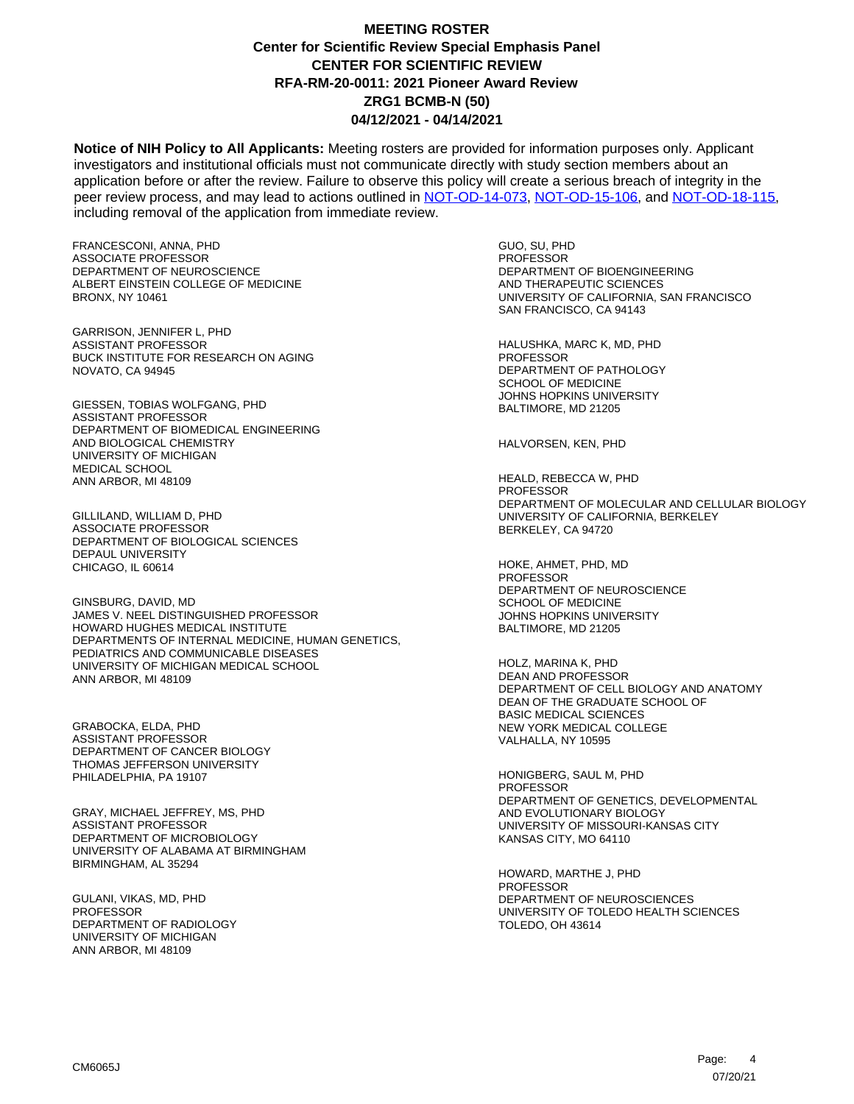**Notice of NIH Policy to All Applicants:** Meeting rosters are provided for information purposes only. Applicant investigators and institutional officials must not communicate directly with study section members about an application before or after the review. Failure to observe this policy will create a serious breach of integrity in the peer review process, and may lead to actions outlined in [NOT-OD-14-073,](https://grants.nih.gov/grants/guide/notice-files/NOT-OD-14-073.html) [NOT-OD-15-106,](https://grants.nih.gov/grants/guide/notice-files/NOT-OD-15-106.html) and [NOT-OD-18-115,](https://grants.nih.gov/grants/guide/notice-files/NOT-OD-18-115.html) including removal of the application from immediate review.

FRANCESCONI, ANNA, PHD ASSOCIATE PROFESSOR DEPARTMENT OF NEUROSCIENCE ALBERT EINSTEIN COLLEGE OF MEDICINE BRONX, NY 10461

GARRISON, JENNIFER L, PHD ASSISTANT PROFESSOR BUCK INSTITUTE FOR RESEARCH ON AGING NOVATO, CA 94945

GIESSEN, TOBIAS WOLFGANG, PHD ASSISTANT PROFESSOR DEPARTMENT OF BIOMEDICAL ENGINEERING AND BIOLOGICAL CHEMISTRY UNIVERSITY OF MICHIGAN MEDICAL SCHOOL ANN ARBOR, MI 48109

GILLILAND, WILLIAM D, PHD ASSOCIATE PROFESSOR DEPARTMENT OF BIOLOGICAL SCIENCES DEPAUL UNIVERSITY CHICAGO, IL 60614

GINSBURG, DAVID, MD JAMES V. NEEL DISTINGUISHED PROFESSOR HOWARD HUGHES MEDICAL INSTITUTE DEPARTMENTS OF INTERNAL MEDICINE, HUMAN GENETICS, PEDIATRICS AND COMMUNICABLE DISEASES UNIVERSITY OF MICHIGAN MEDICAL SCHOOL ANN ARBOR, MI 48109

GRABOCKA, ELDA, PHD ASSISTANT PROFESSOR DEPARTMENT OF CANCER BIOLOGY THOMAS JEFFERSON UNIVERSITY PHILADELPHIA, PA 19107

GRAY, MICHAEL JEFFREY, MS, PHD ASSISTANT PROFESSOR DEPARTMENT OF MICROBIOLOGY UNIVERSITY OF ALABAMA AT BIRMINGHAM BIRMINGHAM, AL 35294

GULANI, VIKAS, MD, PHD PROFESSOR DEPARTMENT OF RADIOLOGY UNIVERSITY OF MICHIGAN ANN ARBOR, MI 48109

GUO, SU, PHD PROFESSOR DEPARTMENT OF BIOENGINEERING AND THERAPEUTIC SCIENCES UNIVERSITY OF CALIFORNIA, SAN FRANCISCO SAN FRANCISCO, CA 94143

HALUSHKA, MARC K, MD, PHD PROFESSOR DEPARTMENT OF PATHOLOGY SCHOOL OF MEDICINE JOHNS HOPKINS UNIVERSITY BALTIMORE, MD 21205

HALVORSEN, KEN, PHD

HEALD, REBECCA W, PHD **PROFESSOR** DEPARTMENT OF MOLECULAR AND CELLULAR BIOLOGY UNIVERSITY OF CALIFORNIA, BERKELEY BERKELEY, CA 94720

HOKE, AHMET, PHD, MD PROFESSOR DEPARTMENT OF NEUROSCIENCE SCHOOL OF MEDICINE JOHNS HOPKINS UNIVERSITY BALTIMORE, MD 21205

HOLZ, MARINA K, PHD DEAN AND PROFESSOR DEPARTMENT OF CELL BIOLOGY AND ANATOMY DEAN OF THE GRADUATE SCHOOL OF BASIC MEDICAL SCIENCES NEW YORK MEDICAL COLLEGE VALHALLA, NY 10595

HONIGBERG, SAUL M, PHD **PROFESSOR** DEPARTMENT OF GENETICS, DEVELOPMENTAL AND EVOLUTIONARY BIOLOGY UNIVERSITY OF MISSOURI-KANSAS CITY KANSAS CITY, MO 64110

HOWARD, MARTHE J, PHD PROFESSOR DEPARTMENT OF NEUROSCIENCES UNIVERSITY OF TOLEDO HEALTH SCIENCES TOLEDO, OH 43614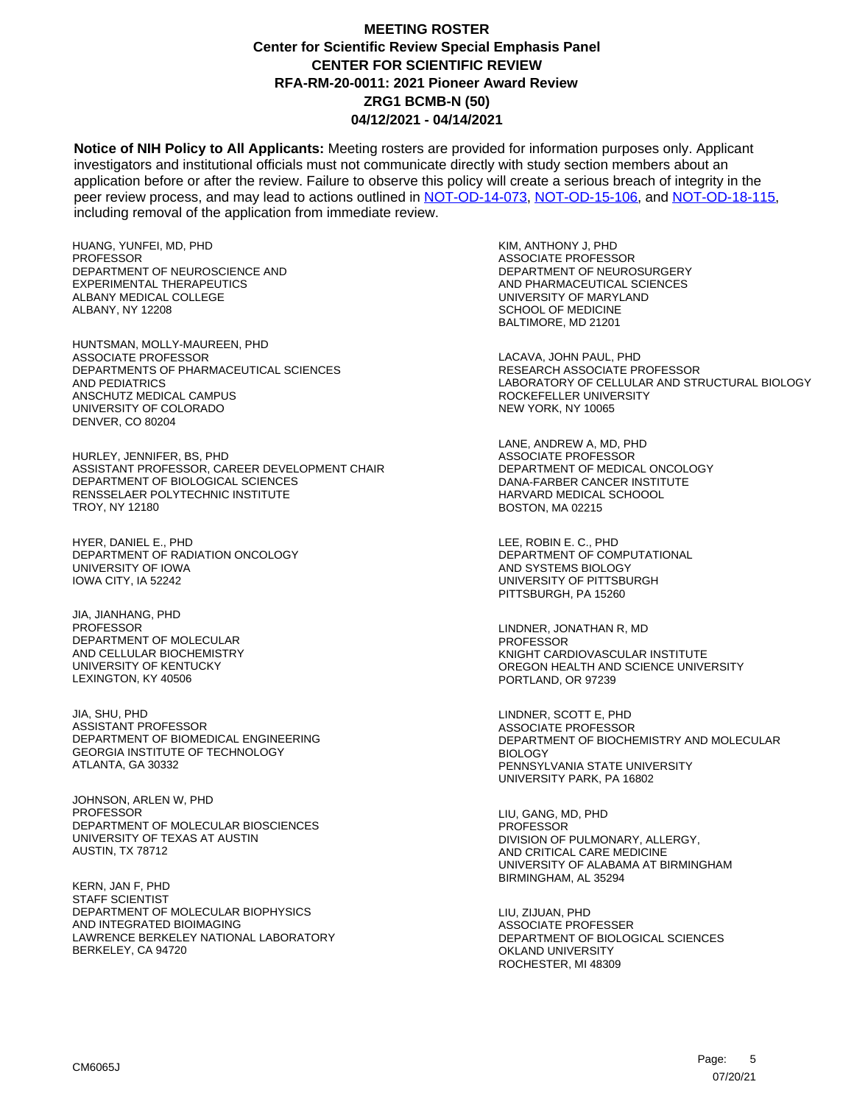**Notice of NIH Policy to All Applicants:** Meeting rosters are provided for information purposes only. Applicant investigators and institutional officials must not communicate directly with study section members about an application before or after the review. Failure to observe this policy will create a serious breach of integrity in the peer review process, and may lead to actions outlined in [NOT-OD-14-073,](https://grants.nih.gov/grants/guide/notice-files/NOT-OD-14-073.html) [NOT-OD-15-106,](https://grants.nih.gov/grants/guide/notice-files/NOT-OD-15-106.html) and [NOT-OD-18-115,](https://grants.nih.gov/grants/guide/notice-files/NOT-OD-18-115.html) including removal of the application from immediate review.

HUANG, YUNFEI, MD, PHD PROFESSOR DEPARTMENT OF NEUROSCIENCE AND EXPERIMENTAL THERAPEUTICS ALBANY MEDICAL COLLEGE ALBANY, NY 12208

HUNTSMAN, MOLLY-MAUREEN, PHD ASSOCIATE PROFESSOR DEPARTMENTS OF PHARMACEUTICAL SCIENCES AND PEDIATRICS ANSCHUTZ MEDICAL CAMPUS UNIVERSITY OF COLORADO DENVER, CO 80204

HURLEY, JENNIFER, BS, PHD ASSISTANT PROFESSOR, CAREER DEVELOPMENT CHAIR DEPARTMENT OF BIOLOGICAL SCIENCES RENSSELAER POLYTECHNIC INSTITUTE TROY, NY 12180

HYER, DANIEL E., PHD DEPARTMENT OF RADIATION ONCOLOGY UNIVERSITY OF IOWA IOWA CITY, IA 52242

JIA, JIANHANG, PHD PROFESSOR DEPARTMENT OF MOLECULAR AND CELLULAR BIOCHEMISTRY UNIVERSITY OF KENTUCKY LEXINGTON, KY 40506

JIA, SHU, PHD ASSISTANT PROFESSOR DEPARTMENT OF BIOMEDICAL ENGINEERING GEORGIA INSTITUTE OF TECHNOLOGY ATLANTA, GA 30332

JOHNSON, ARLEN W, PHD PROFESSOR DEPARTMENT OF MOLECULAR BIOSCIENCES UNIVERSITY OF TEXAS AT AUSTIN AUSTIN, TX 78712

KERN, JAN F, PHD STAFF SCIENTIST DEPARTMENT OF MOLECULAR BIOPHYSICS AND INTEGRATED BIOIMAGING LAWRENCE BERKELEY NATIONAL LABORATORY BERKELEY, CA 94720

KIM, ANTHONY J, PHD ASSOCIATE PROFESSOR DEPARTMENT OF NEUROSURGERY AND PHARMACEUTICAL SCIENCES UNIVERSITY OF MARYLAND SCHOOL OF MEDICINE BALTIMORE, MD 21201

LACAVA, JOHN PAUL, PHD RESEARCH ASSOCIATE PROFESSOR LABORATORY OF CELLULAR AND STRUCTURAL BIOLOGY ROCKEFELLER UNIVERSITY NEW YORK, NY 10065

LANE, ANDREW A, MD, PHD ASSOCIATE PROFESSOR DEPARTMENT OF MEDICAL ONCOLOGY DANA-FARBER CANCER INSTITUTE HARVARD MEDICAL SCHOOOL BOSTON, MA 02215

LEE, ROBIN E. C., PHD DEPARTMENT OF COMPUTATIONAL AND SYSTEMS BIOLOGY UNIVERSITY OF PITTSBURGH PITTSBURGH, PA 15260

LINDNER, JONATHAN R, MD PROFESSOR KNIGHT CARDIOVASCULAR INSTITUTE OREGON HEALTH AND SCIENCE UNIVERSITY PORTLAND, OR 97239

LINDNER, SCOTT E, PHD ASSOCIATE PROFESSOR DEPARTMENT OF BIOCHEMISTRY AND MOLECULAR BIOLOGY PENNSYLVANIA STATE UNIVERSITY UNIVERSITY PARK, PA 16802

LIU, GANG, MD, PHD **PROFESSOR** DIVISION OF PULMONARY, ALLERGY, AND CRITICAL CARE MEDICINE UNIVERSITY OF ALABAMA AT BIRMINGHAM BIRMINGHAM, AL 35294

LIU, ZIJUAN, PHD ASSOCIATE PROFESSER DEPARTMENT OF BIOLOGICAL SCIENCES OKLAND UNIVERSITY ROCHESTER, MI 48309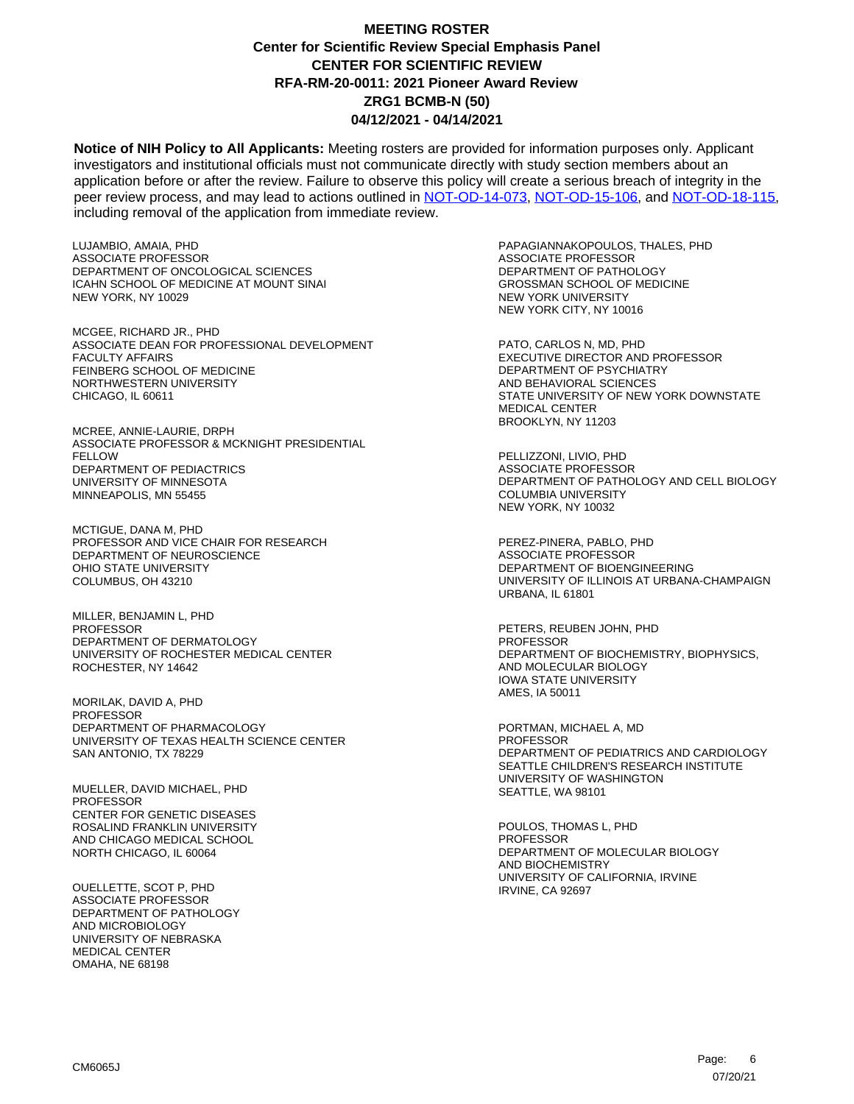**Notice of NIH Policy to All Applicants:** Meeting rosters are provided for information purposes only. Applicant investigators and institutional officials must not communicate directly with study section members about an application before or after the review. Failure to observe this policy will create a serious breach of integrity in the peer review process, and may lead to actions outlined in [NOT-OD-14-073,](https://grants.nih.gov/grants/guide/notice-files/NOT-OD-14-073.html) [NOT-OD-15-106,](https://grants.nih.gov/grants/guide/notice-files/NOT-OD-15-106.html) and [NOT-OD-18-115,](https://grants.nih.gov/grants/guide/notice-files/NOT-OD-18-115.html) including removal of the application from immediate review.

LUJAMBIO, AMAIA, PHD ASSOCIATE PROFESSOR DEPARTMENT OF ONCOLOGICAL SCIENCES ICAHN SCHOOL OF MEDICINE AT MOUNT SINAI NEW YORK, NY 10029

MCGEE, RICHARD JR., PHD ASSOCIATE DEAN FOR PROFESSIONAL DEVELOPMENT FACULTY AFFAIRS FEINBERG SCHOOL OF MEDICINE NORTHWESTERN UNIVERSITY CHICAGO, IL 60611

MCREE, ANNIE-LAURIE, DRPH ASSOCIATE PROFESSOR & MCKNIGHT PRESIDENTIAL FELLOW DEPARTMENT OF PEDIACTRICS UNIVERSITY OF MINNESOTA MINNEAPOLIS, MN 55455

MCTIGUE, DANA M, PHD PROFESSOR AND VICE CHAIR FOR RESEARCH DEPARTMENT OF NEUROSCIENCE OHIO STATE UNIVERSITY COLUMBUS, OH 43210

MILLER, BENJAMIN L, PHD PROFESSOR DEPARTMENT OF DERMATOLOGY UNIVERSITY OF ROCHESTER MEDICAL CENTER ROCHESTER, NY 14642

MORILAK, DAVID A, PHD PROFESSOR DEPARTMENT OF PHARMACOLOGY UNIVERSITY OF TEXAS HEALTH SCIENCE CENTER SAN ANTONIO, TX 78229

MUELLER, DAVID MICHAEL, PHD PROFESSOR CENTER FOR GENETIC DISEASES ROSALIND FRANKLIN UNIVERSITY AND CHICAGO MEDICAL SCHOOL NORTH CHICAGO, IL 60064

OUELLETTE, SCOT P, PHD ASSOCIATE PROFESSOR DEPARTMENT OF PATHOLOGY AND MICROBIOLOGY UNIVERSITY OF NEBRASKA MEDICAL CENTER OMAHA, NE 68198

PAPAGIANNAKOPOULOS, THALES, PHD ASSOCIATE PROFESSOR DEPARTMENT OF PATHOLOGY GROSSMAN SCHOOL OF MEDICINE NEW YORK UNIVERSITY NEW YORK CITY, NY 10016

PATO, CARLOS N, MD, PHD EXECUTIVE DIRECTOR AND PROFESSOR DEPARTMENT OF PSYCHIATRY AND BEHAVIORAL SCIENCES STATE UNIVERSITY OF NEW YORK DOWNSTATE MEDICAL CENTER BROOKLYN, NY 11203

PELLIZZONI, LIVIO, PHD ASSOCIATE PROFESSOR DEPARTMENT OF PATHOLOGY AND CELL BIOLOGY COLUMBIA UNIVERSITY NEW YORK, NY 10032

PEREZ-PINERA, PABLO, PHD ASSOCIATE PROFESSOR DEPARTMENT OF BIOENGINEERING UNIVERSITY OF ILLINOIS AT URBANA-CHAMPAIGN URBANA, IL 61801

PETERS, REUBEN JOHN, PHD PROFESSOR DEPARTMENT OF BIOCHEMISTRY, BIOPHYSICS, AND MOLECULAR BIOLOGY IOWA STATE UNIVERSITY AMES, IA 50011

PORTMAN, MICHAEL A, MD PROFESSOR DEPARTMENT OF PEDIATRICS AND CARDIOLOGY SEATTLE CHILDREN'S RESEARCH INSTITUTE UNIVERSITY OF WASHINGTON SEATTLE, WA 98101

POULOS, THOMAS L, PHD PROFESSOR DEPARTMENT OF MOLECULAR BIOLOGY AND BIOCHEMISTRY UNIVERSITY OF CALIFORNIA, IRVINE IRVINE, CA 92697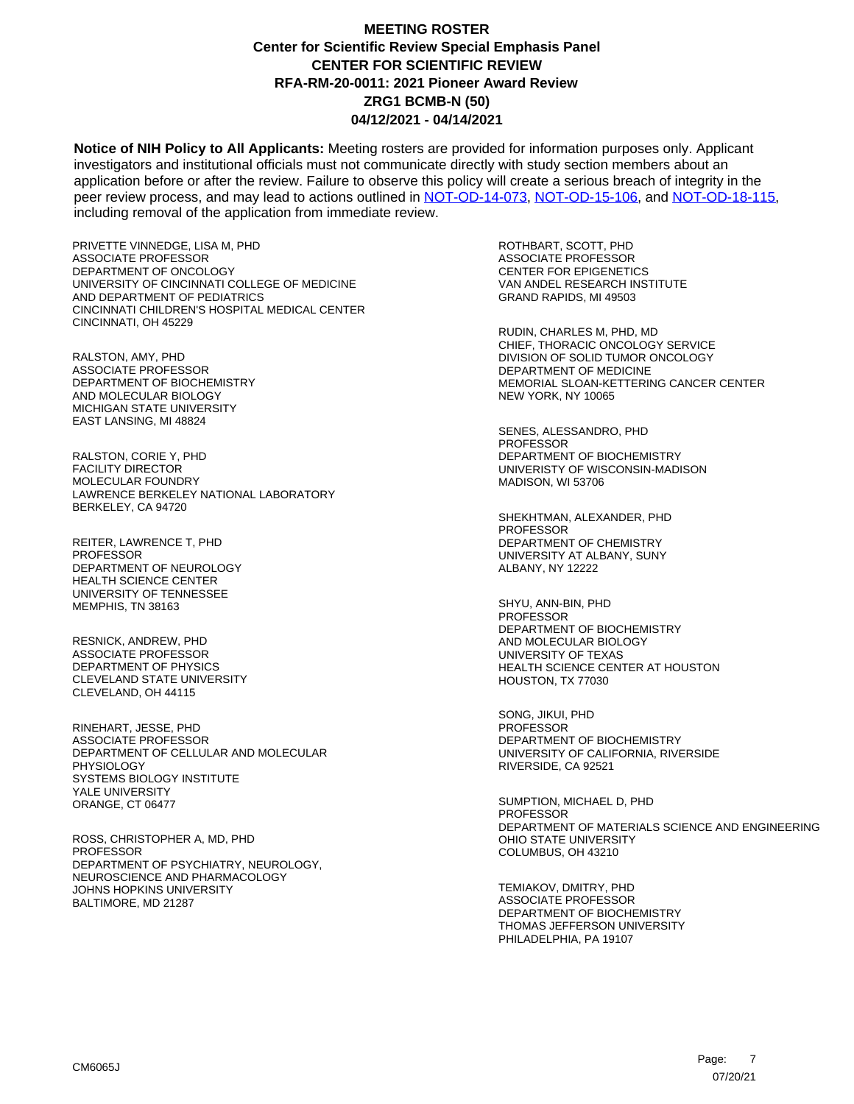**Notice of NIH Policy to All Applicants:** Meeting rosters are provided for information purposes only. Applicant investigators and institutional officials must not communicate directly with study section members about an application before or after the review. Failure to observe this policy will create a serious breach of integrity in the peer review process, and may lead to actions outlined in [NOT-OD-14-073,](https://grants.nih.gov/grants/guide/notice-files/NOT-OD-14-073.html) [NOT-OD-15-106,](https://grants.nih.gov/grants/guide/notice-files/NOT-OD-15-106.html) and [NOT-OD-18-115,](https://grants.nih.gov/grants/guide/notice-files/NOT-OD-18-115.html) including removal of the application from immediate review.

PRIVETTE VINNEDGE, LISA M, PHD ASSOCIATE PROFESSOR DEPARTMENT OF ONCOLOGY UNIVERSITY OF CINCINNATI COLLEGE OF MEDICINE AND DEPARTMENT OF PEDIATRICS CINCINNATI CHILDREN'S HOSPITAL MEDICAL CENTER CINCINNATI, OH 45229

RALSTON, AMY, PHD ASSOCIATE PROFESSOR DEPARTMENT OF BIOCHEMISTRY AND MOLECULAR BIOLOGY MICHIGAN STATE UNIVERSITY EAST LANSING, MI 48824

RALSTON, CORIE Y, PHD FACILITY DIRECTOR MOLECULAR FOUNDRY LAWRENCE BERKELEY NATIONAL LABORATORY BERKELEY, CA 94720

REITER, LAWRENCE T, PHD PROFESSOR DEPARTMENT OF NEUROLOGY HEALTH SCIENCE CENTER UNIVERSITY OF TENNESSEE MEMPHIS, TN 38163

RESNICK, ANDREW, PHD ASSOCIATE PROFESSOR DEPARTMENT OF PHYSICS CLEVELAND STATE UNIVERSITY CLEVELAND, OH 44115

RINEHART, JESSE, PHD ASSOCIATE PROFESSOR DEPARTMENT OF CELLULAR AND MOLECULAR PHYSIOLOGY SYSTEMS BIOLOGY INSTITUTE YALE UNIVERSITY ORANGE, CT 06477

ROSS, CHRISTOPHER A, MD, PHD **PROFESSOR** DEPARTMENT OF PSYCHIATRY, NEUROLOGY, NEUROSCIENCE AND PHARMACOLOGY JOHNS HOPKINS UNIVERSITY BALTIMORE, MD 21287

ROTHBART, SCOTT, PHD ASSOCIATE PROFESSOR CENTER FOR EPIGENETICS VAN ANDEL RESEARCH INSTITUTE GRAND RAPIDS, MI 49503

RUDIN, CHARLES M, PHD, MD CHIEF, THORACIC ONCOLOGY SERVICE DIVISION OF SOLID TUMOR ONCOLOGY DEPARTMENT OF MEDICINE MEMORIAL SLOAN-KETTERING CANCER CENTER NEW YORK, NY 10065

SENES, ALESSANDRO, PHD **PROFESSOR** DEPARTMENT OF BIOCHEMISTRY UNIVERISTY OF WISCONSIN-MADISON MADISON, WI 53706

SHEKHTMAN, ALEXANDER, PHD PROFESSOR DEPARTMENT OF CHEMISTRY UNIVERSITY AT ALBANY, SUNY ALBANY, NY 12222

SHYU, ANN-BIN, PHD PROFESSOR DEPARTMENT OF BIOCHEMISTRY AND MOLECULAR BIOLOGY UNIVERSITY OF TEXAS HEALTH SCIENCE CENTER AT HOUSTON HOUSTON, TX 77030

SONG, JIKUI, PHD **PROFESSOR** DEPARTMENT OF BIOCHEMISTRY UNIVERSITY OF CALIFORNIA, RIVERSIDE RIVERSIDE, CA 92521

SUMPTION, MICHAEL D, PHD PROFESSOR DEPARTMENT OF MATERIALS SCIENCE AND ENGINEERING OHIO STATE UNIVERSITY COLUMBUS, OH 43210

TEMIAKOV, DMITRY, PHD ASSOCIATE PROFESSOR DEPARTMENT OF BIOCHEMISTRY THOMAS JEFFERSON UNIVERSITY PHILADELPHIA, PA 19107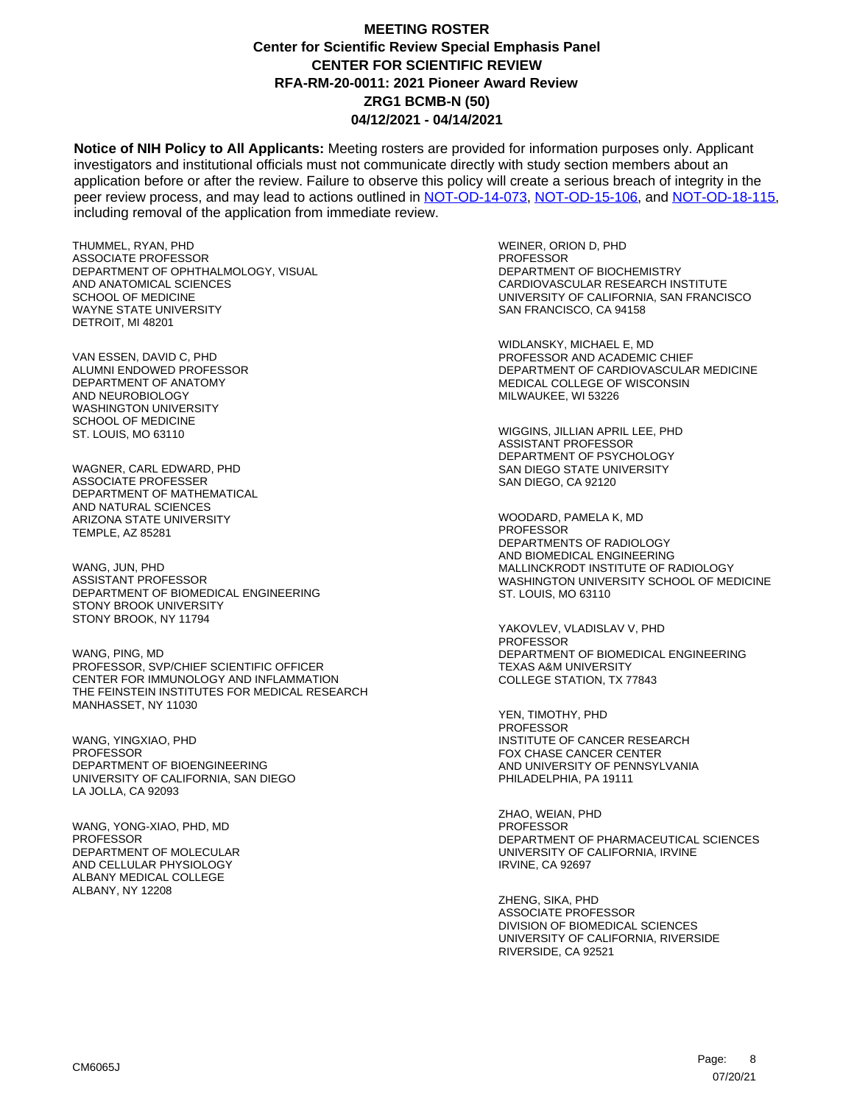**Notice of NIH Policy to All Applicants:** Meeting rosters are provided for information purposes only. Applicant investigators and institutional officials must not communicate directly with study section members about an application before or after the review. Failure to observe this policy will create a serious breach of integrity in the peer review process, and may lead to actions outlined in [NOT-OD-14-073,](https://grants.nih.gov/grants/guide/notice-files/NOT-OD-14-073.html) [NOT-OD-15-106,](https://grants.nih.gov/grants/guide/notice-files/NOT-OD-15-106.html) and [NOT-OD-18-115,](https://grants.nih.gov/grants/guide/notice-files/NOT-OD-18-115.html) including removal of the application from immediate review.

THUMMEL, RYAN, PHD ASSOCIATE PROFESSOR DEPARTMENT OF OPHTHALMOLOGY, VISUAL AND ANATOMICAL SCIENCES SCHOOL OF MEDICINE WAYNE STATE UNIVERSITY DETROIT, MI 48201

VAN ESSEN, DAVID C, PHD ALUMNI ENDOWED PROFESSOR DEPARTMENT OF ANATOMY AND NEUROBIOLOGY WASHINGTON UNIVERSITY SCHOOL OF MEDICINE ST. LOUIS, MO 63110

WAGNER, CARL EDWARD, PHD ASSOCIATE PROFESSER DEPARTMENT OF MATHEMATICAL AND NATURAL SCIENCES ARIZONA STATE UNIVERSITY TEMPLE, AZ 85281

WANG, JUN, PHD ASSISTANT PROFESSOR DEPARTMENT OF BIOMEDICAL ENGINEERING STONY BROOK UNIVERSITY STONY BROOK, NY 11794

WANG, PING, MD PROFESSOR, SVP/CHIEF SCIENTIFIC OFFICER CENTER FOR IMMUNOLOGY AND INFLAMMATION THE FEINSTEIN INSTITUTES FOR MEDICAL RESEARCH MANHASSET, NY 11030

WANG, YINGXIAO, PHD PROFESSOR DEPARTMENT OF BIOENGINEERING UNIVERSITY OF CALIFORNIA, SAN DIEGO LA JOLLA, CA 92093

WANG, YONG-XIAO, PHD, MD PROFESSOR DEPARTMENT OF MOLECUI AR AND CELLULAR PHYSIOLOGY ALBANY MEDICAL COLLEGE ALBANY, NY 12208

WEINER, ORION D, PHD PROFESSOR DEPARTMENT OF BIOCHEMISTRY CARDIOVASCULAR RESEARCH INSTITUTE UNIVERSITY OF CALIFORNIA, SAN FRANCISCO SAN FRANCISCO, CA 94158

WIDLANSKY, MICHAEL E, MD PROFESSOR AND ACADEMIC CHIEF DEPARTMENT OF CARDIOVASCULAR MEDICINE MEDICAL COLLEGE OF WISCONSIN MILWAUKEE, WI 53226

WIGGINS, JILLIAN APRIL LEE, PHD ASSISTANT PROFESSOR DEPARTMENT OF PSYCHOLOGY SAN DIEGO STATE UNIVERSITY SAN DIEGO, CA 92120

WOODARD, PAMELA K, MD PROFESSOR DEPARTMENTS OF RADIOLOGY AND BIOMEDICAL ENGINEERING MALLINCKRODT INSTITUTE OF RADIOLOGY WASHINGTON UNIVERSITY SCHOOL OF MEDICINE ST. LOUIS, MO 63110

YAKOVLEV, VLADISLAV V, PHD PROFESSOR DEPARTMENT OF BIOMEDICAL ENGINEERING TEXAS A&M UNIVERSITY COLLEGE STATION, TX 77843

YEN, TIMOTHY, PHD **PROFESSOR** INSTITUTE OF CANCER RESEARCH FOX CHASE CANCER CENTER AND UNIVERSITY OF PENNSYLVANIA PHILADELPHIA, PA 19111

ZHAO, WEIAN, PHD PROFESSOR DEPARTMENT OF PHARMACEUTICAL SCIENCES UNIVERSITY OF CALIFORNIA, IRVINE IRVINE, CA 92697

ZHENG, SIKA, PHD ASSOCIATE PROFESSOR DIVISION OF BIOMEDICAL SCIENCES UNIVERSITY OF CALIFORNIA, RIVERSIDE RIVERSIDE, CA 92521